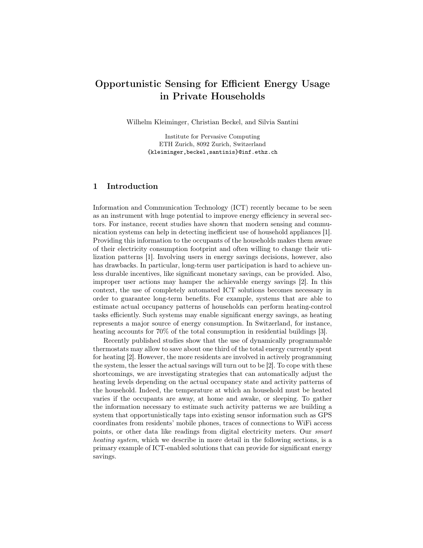# Opportunistic Sensing for Efficient Energy Usage in Private Households

Wilhelm Kleiminger, Christian Beckel, and Silvia Santini

Institute for Pervasive Computing ETH Zurich, 8092 Zurich, Switzerland {kleiminger,beckel,santinis}@inf.ethz.ch

# 1 Introduction

Information and Communication Technology (ICT) recently became to be seen as an instrument with huge potential to improve energy efficiency in several sectors. For instance, recent studies have shown that modern sensing and communication systems can help in detecting inefficient use of household appliances [1]. Providing this information to the occupants of the households makes them aware of their electricity consumption footprint and often willing to change their utilization patterns [1]. Involving users in energy savings decisions, however, also has drawbacks. In particular, long-term user participation is hard to achieve unless durable incentives, like significant monetary savings, can be provided. Also, improper user actions may hamper the achievable energy savings [2]. In this context, the use of completely automated ICT solutions becomes necessary in order to guarantee long-term benefits. For example, systems that are able to estimate actual occupancy patterns of households can perform heating-control tasks efficiently. Such systems may enable significant energy savings, as heating represents a major source of energy consumption. In Switzerland, for instance, heating accounts for 70% of the total consumption in residential buildings [3].

Recently published studies show that the use of dynamically programmable thermostats may allow to save about one third of the total energy currently spent for heating [2]. However, the more residents are involved in actively programming the system, the lesser the actual savings will turn out to be [2]. To cope with these shortcomings, we are investigating strategies that can automatically adjust the heating levels depending on the actual occupancy state and activity patterns of the household. Indeed, the temperature at which an household must be heated varies if the occupants are away, at home and awake, or sleeping. To gather the information necessary to estimate such activity patterns we are building a system that opportunistically taps into existing sensor information such as GPS coordinates from residents' mobile phones, traces of connections to WiFi access points, or other data like readings from digital electricity meters. Our smart heating system, which we describe in more detail in the following sections, is a primary example of ICT-enabled solutions that can provide for significant energy savings.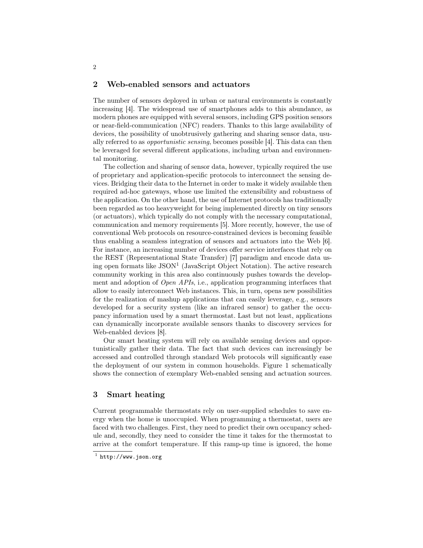## 2 Web-enabled sensors and actuators

The number of sensors deployed in urban or natural environments is constantly increasing [4]. The widespread use of smartphones adds to this abundance, as modern phones are equipped with several sensors, including GPS position sensors or near-field-communication (NFC) readers. Thanks to this large availability of devices, the possibility of unobtrusively gathering and sharing sensor data, usually referred to as opportunistic sensing, becomes possible [4]. This data can then be leveraged for several different applications, including urban and environmental monitoring.

The collection and sharing of sensor data, however, typically required the use of proprietary and application-specific protocols to interconnect the sensing devices. Bridging their data to the Internet in order to make it widely available then required ad-hoc gateways, whose use limited the extensibility and robustness of the application. On the other hand, the use of Internet protocols has traditionally been regarded as too heavyweight for being implemented directly on tiny sensors (or actuators), which typically do not comply with the necessary computational, communication and memory requirements [5]. More recently, however, the use of conventional Web protocols on resource-constrained devices is becoming feasible thus enabling a seamless integration of sensors and actuators into the Web [6]. For instance, an increasing number of devices offer service interfaces that rely on the REST (Representational State Transfer) [7] paradigm and encode data using open formats like JSON<sup>1</sup> (JavaScript Object Notation). The active research community working in this area also continuously pushes towards the development and adoption of Open APIs, i.e., application programming interfaces that allow to easily interconnect Web instances. This, in turn, opens new possibilities for the realization of mashup applications that can easily leverage, e.g., sensors developed for a security system (like an infrared sensor) to gather the occupancy information used by a smart thermostat. Last but not least, applications can dynamically incorporate available sensors thanks to discovery services for Web-enabled devices [8].

Our smart heating system will rely on available sensing devices and opportunistically gather their data. The fact that such devices can increasingly be accessed and controlled through standard Web protocols will significantly ease the deployment of our system in common households. Figure 1 schematically shows the connection of exemplary Web-enabled sensing and actuation sources.

### 3 Smart heating

Current programmable thermostats rely on user-supplied schedules to save energy when the home is unoccupied. When programming a thermostat, users are faced with two challenges. First, they need to predict their own occupancy schedule and, secondly, they need to consider the time it takes for the thermostat to arrive at the comfort temperature. If this ramp-up time is ignored, the home

 $^{\rm 1}$  http://www.json.org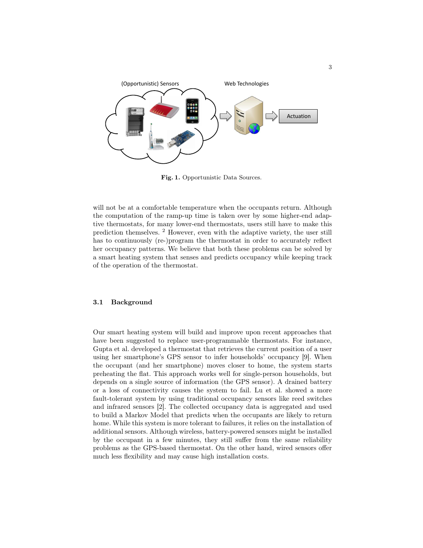

Fig. 1. Opportunistic Data Sources.

will not be at a comfortable temperature when the occupants return. Although the computation of the ramp-up time is taken over by some higher-end adaptive thermostats, for many lower-end thermostats, users still have to make this prediction themselves. <sup>2</sup> However, even with the adaptive variety, the user still has to continuously (re-)program the thermostat in order to accurately reflect her occupancy patterns. We believe that both these problems can be solved by a smart heating system that senses and predicts occupancy while keeping track of the operation of the thermostat.

#### 3.1 Background

Our smart heating system will build and improve upon recent approaches that have been suggested to replace user-programmable thermostats. For instance, Gupta et al. developed a thermostat that retrieves the current position of a user using her smartphone's GPS sensor to infer households' occupancy [9]. When the occupant (and her smartphone) moves closer to home, the system starts preheating the flat. This approach works well for single-person households, but depends on a single source of information (the GPS sensor). A drained battery or a loss of connectivity causes the system to fail. Lu et al. showed a more fault-tolerant system by using traditional occupancy sensors like reed switches and infrared sensors [2]. The collected occupancy data is aggregated and used to build a Markov Model that predicts when the occupants are likely to return home. While this system is more tolerant to failures, it relies on the installation of additional sensors. Although wireless, battery-powered sensors might be installed by the occupant in a few minutes, they still suffer from the same reliability problems as the GPS-based thermostat. On the other hand, wired sensors offer much less flexibility and may cause high installation costs.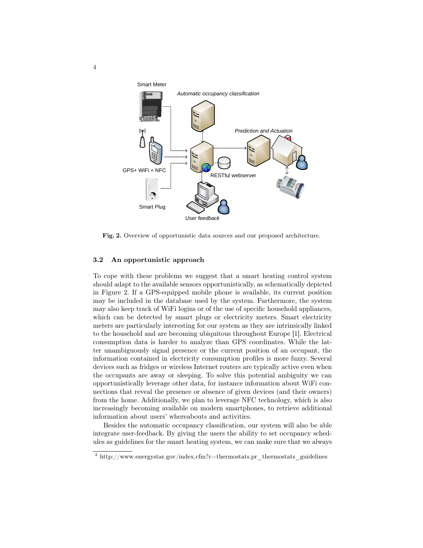

Fig. 2. Overview of opportunistic data sources and our proposed architecture.

#### 3.2 An opportunistic approach

To cope with these problems we suggest that a smart heating control system should adapt to the available sensors opportunistically, as schematically depicted in Figure 2. If a GPS-equipped mobile phone is available, its current position may be included in the database used by the system. Furthermore, the system may also keep track of WiFi logins or of the use of specific household appliances, which can be detected by smart plugs or electricity meters. Smart electricity meters are particularly interesting for our system as they are intrinsically linked to the household and are becoming ubiquitous throughout Europe [1]. Electrical consumption data is harder to analyze than GPS coordinates. While the latter unambiguously signal presence or the current position of an occupant, the information contained in electricity consumption profiles is more fuzzy. Several devices such as fridges or wireless Internet routers are typically active even when the occupants are away or sleeping. To solve this potential ambiguity we can opportunistically leverage other data, for instance information about WiFi connections that reveal the presence or absence of given devices (and their owners) from the home. Additionally, we plan to leverage NFC technology, which is also increasingly becoming available on modern smartphones, to retrieve additional information about users' whereabouts and activities.

Besides the automatic occupancy classification, our system will also be able integrate user-feedback. By giving the users the ability to set occupancy schedules as guidelines for the smart heating system, we can make sure that we always

4

<sup>&</sup>lt;sup>2</sup> http://www.energystar.gov/index.cfm?c=thermostats.pr\_thermostats\_guidelines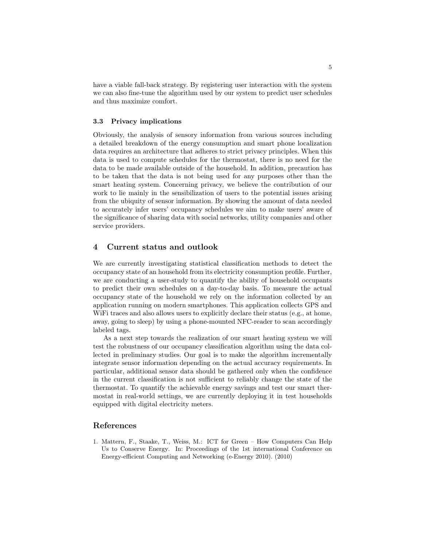have a viable fall-back strategy. By registering user interaction with the system we can also fine-tune the algorithm used by our system to predict user schedules and thus maximize comfort.

#### 3.3 Privacy implications

Obviously, the analysis of sensory information from various sources including a detailed breakdown of the energy consumption and smart phone localization data requires an architecture that adheres to strict privacy principles. When this data is used to compute schedules for the thermostat, there is no need for the data to be made available outside of the household. In addition, precaution has to be taken that the data is not being used for any purposes other than the smart heating system. Concerning privacy, we believe the contribution of our work to lie mainly in the sensibilization of users to the potential issues arising from the ubiquity of sensor information. By showing the amount of data needed to accurately infer users' occupancy schedules we aim to make users' aware of the significance of sharing data with social networks, utility companies and other service providers.

# 4 Current status and outlook

We are currently investigating statistical classification methods to detect the occupancy state of an household from its electricity consumption profile. Further, we are conducting a user-study to quantify the ability of household occupants to predict their own schedules on a day-to-day basis. To measure the actual occupancy state of the household we rely on the information collected by an application running on modern smartphones. This application collects GPS and WiFi traces and also allows users to explicitly declare their status (e.g., at home, away, going to sleep) by using a phone-mounted NFC-reader to scan accordingly labeled tags.

As a next step towards the realization of our smart heating system we will test the robustness of our occupancy classification algorithm using the data collected in preliminary studies. Our goal is to make the algorithm incrementally integrate sensor information depending on the actual accuracy requirements. In particular, additional sensor data should be gathered only when the confidence in the current classification is not sufficient to reliably change the state of the thermostat. To quantify the achievable energy savings and test our smart thermostat in real-world settings, we are currently deploying it in test households equipped with digital electricity meters.

### References

1. Mattern, F., Staake, T., Weiss, M.: ICT for Green – How Computers Can Help Us to Conserve Energy. In: Proceedings of the 1st international Conference on Energy-efficient Computing and Networking (e-Energy 2010). (2010)